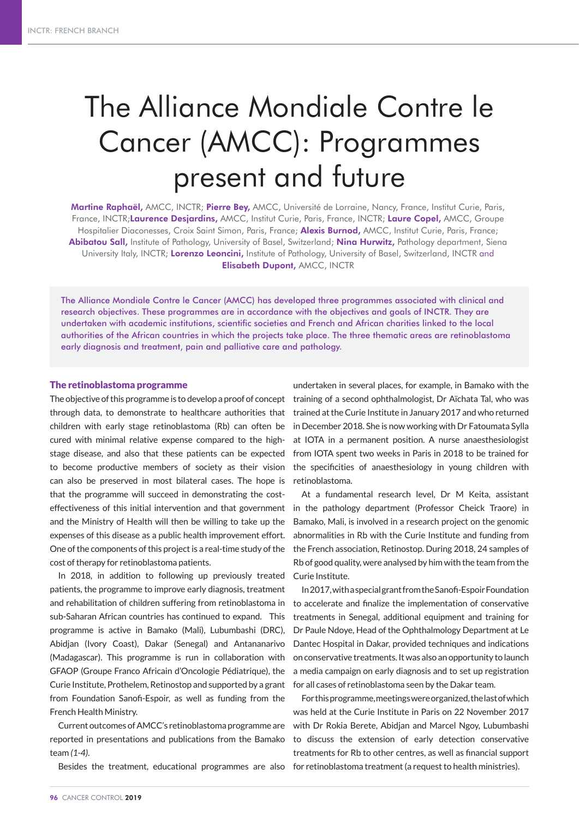# The Alliance Mondiale Contre le Cancer (AMCC): Programmes present and future

Martine Raphaël, AMCC, INCTR; Pierre Bey, AMCC, Université de Lorraine, Nancy, France, Institut Curie, Paris, France, INCTR; Laurence Desjardins, AMCC, Institut Curie, Paris, France, INCTR; Laure Copel, AMCC, Groupe Hospitalier Diaconesses, Croix Saint Simon, Paris, France; Alexis Burnod, AMCC, Institut Curie, Paris, France; Abibatou Sall, Institute of Pathology, University of Basel, Switzerland; Nina Hurwitz, Pathology department, Siena University Italy, INCTR; Lorenzo Leoncini, Institute of Pathology, University of Basel, Switzerland, INCTR and Elisabeth Dupont, AMCC, INCTR

The Alliance Mondiale Contre le Cancer (AMCC) has developed three programmes associated with clinical and research objectives. These programmes are in accordance with the objectives and goals of INCTR. They are undertaken with academic institutions, scientific societies and French and African charities linked to the local authorities of the African countries in which the projects take place. The three thematic areas are retinoblastoma early diagnosis and treatment, pain and palliative care and pathology.

## The retinoblastoma programme

The objective of this programme is to develop a proof of concept through data, to demonstrate to healthcare authorities that children with early stage retinoblastoma (Rb) can often be cured with minimal relative expense compared to the highstage disease, and also that these patients can be expected to become productive members of society as their vision can also be preserved in most bilateral cases. The hope is that the programme will succeed in demonstrating the costeffectiveness of this initial intervention and that government and the Ministry of Health will then be willing to take up the expenses of this disease as a public health improvement effort. One of the components of this project is a real-time study of the cost of therapy for retinoblastoma patients.

In 2018, in addition to following up previously treated patients, the programme to improve early diagnosis, treatment and rehabilitation of children suffering from retinoblastoma in sub-Saharan African countries has continued to expand. This programme is active in Bamako (Mali), Lubumbashi (DRC), Abidjan (Ivory Coast), Dakar (Senegal) and Antananarivo (Madagascar). This programme is run in collaboration with GFAOP (Groupe Franco Africain d'Oncologie Pédiatrique), the Curie Institute, Prothelem, Retinostop and supported by a grant from Foundation Sanofi-Espoir, as well as funding from the French Health Ministry.

Current outcomes of AMCC's retinoblastoma programme are reported in presentations and publications from the Bamako team *(1-4)*.

Besides the treatment, educational programmes are also

undertaken in several places, for example, in Bamako with the training of a second ophthalmologist, Dr Aïchata Tal, who was trained at the Curie Institute in January 2017 and who returned in December 2018. She is now working with Dr Fatoumata Sylla at IOTA in a permanent position. A nurse anaesthesiologist from IOTA spent two weeks in Paris in 2018 to be trained for the specificities of anaesthesiology in young children with retinoblastoma.

At a fundamental research level, Dr M Keita, assistant in the pathology department (Professor Cheick Traore) in Bamako, Mali, is involved in a research project on the genomic abnormalities in Rb with the Curie Institute and funding from the French association, Retinostop. During 2018, 24 samples of Rb of good quality, were analysed by him with the team from the Curie Institute.

In 2017, with a special grant from the Sanofi-Espoir Foundation to accelerate and finalize the implementation of conservative treatments in Senegal, additional equipment and training for Dr Paule Ndoye, Head of the Ophthalmology Department at Le Dantec Hospital in Dakar, provided techniques and indications on conservative treatments. It was also an opportunity to launch a media campaign on early diagnosis and to set up registration for all cases of retinoblastoma seen by the Dakar team.

For this programme, meetings were organized, the last of which was held at the Curie Institute in Paris on 22 November 2017 with Dr Rokia Berete, Abidjan and Marcel Ngoy, Lubumbashi to discuss the extension of early detection conservative treatments for Rb to other centres, as well as financial support for retinoblastoma treatment (a request to health ministries).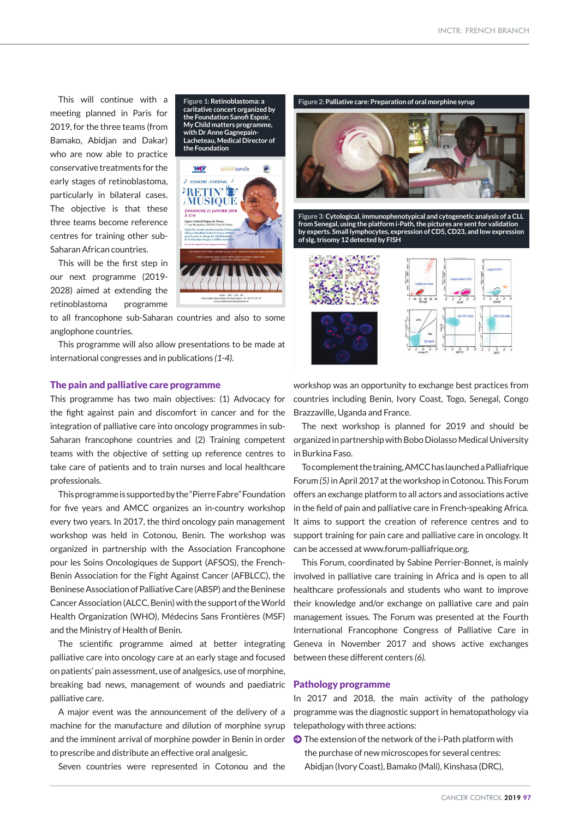This will continue with a meeting planned in Paris for 2019, for the three teams (from Bamako, Abidjan and Dakar) who are now able to practice conservative treatments for the early stages of retinoblastoma, particularly in bilateral cases. The objective is that these three teams become reference centres for training other sub-Saharan African countries.

This will be the first step in our next programme (2019- 2028) aimed at extending the retinoblastoma programme

to all francophone sub-Saharan countries and also to some anglophone countries.

This programme will also allow presentations to be made at international congresses and in publications *(1-4)*.

#### The pain and palliative care programme

This programme has two main objectives: (1) Advocacy for the fight against pain and discomfort in cancer and for the integration of palliative care into oncology programmes in sub-Saharan francophone countries and (2) Training competent teams with the objective of setting up reference centres to take care of patients and to train nurses and local healthcare professionals.

This programme is supported by the "Pierre Fabre" Foundation for five years and AMCC organizes an in-country workshop every two years. In 2017, the third oncology pain management workshop was held in Cotonou, Benin. The workshop was organized in partnership with the Association Francophone pour les Soins Oncologiques de Support (AFSOS), the French-Benin Association for the Fight Against Cancer (AFBLCC), the Beninese Association of Palliative Care (ABSP) and the Beninese Cancer Association (ALCC, Benin) with the support of the World Health Organization (WHO), Médecins Sans Frontières (MSF) and the Ministry of Health of Benin.

The scientific programme aimed at better integrating palliative care into oncology care at an early stage and focused on patients' pain assessment, use of analgesics, use of morphine, breaking bad news, management of wounds and paediatric palliative care.

A major event was the announcement of the delivery of a machine for the manufacture and dilution of morphine syrup and the imminent arrival of morphine powder in Benin in order to prescribe and distribute an effective oral analgesic.

Seven countries were represented in Cotonou and the

**Figure 1: Retinoblastoma: a caritative concert organized by the Foundation Sanofi Espoir, My Child matters programme, with Dr Anne Gagnepain-Lacheteau, Medical Director of the Foundation**





**Figure 3: Cytological, immunophenotypical and cytogenetic analysis of a CLL from Senegal, using the platform i-Path, the pictures are sent for validation by experts. Small lymphocytes, expression of CD5, CD23, and low expression of sIg, trisomy 12 detected by FISH**



workshop was an opportunity to exchange best practices from countries including Benin, Ivory Coast, Togo, Senegal, Congo Brazzaville, Uganda and France.

The next workshop is planned for 2019 and should be organized in partnership with Bobo Diolasso Medical University in Burkina Faso.

To complement the training, AMCC has launched a Palliafrique Forum *(5)* in April 2017 at the workshop in Cotonou. This Forum offers an exchange platform to all actors and associations active in the field of pain and palliative care in French-speaking Africa. It aims to support the creation of reference centres and to support training for pain care and palliative care in oncology. It can be accessed at www.forum-palliafrique.org.

This Forum, coordinated by Sabine Perrier-Bonnet, is mainly involved in palliative care training in Africa and is open to all healthcare professionals and students who want to improve their knowledge and/or exchange on palliative care and pain management issues. The Forum was presented at the Fourth International Francophone Congress of Palliative Care in Geneva in November 2017 and shows active exchanges between these different centers *(6).*

### Pathology programme

In 2017 and 2018, the main activity of the pathology programme was the diagnostic support in hematopathology via telepathology with three actions:

 $\bullet$  The extension of the network of the i-Path platform with the purchase of new microscopes for several centres: Abidjan (Ivory Coast), Bamako (Mali), Kinshasa (DRC),